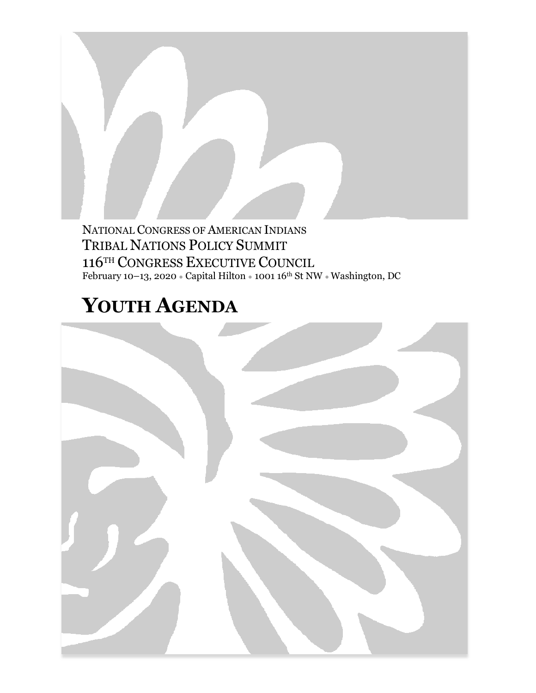NATIONAL CONGRESS OF AMERICAN INDIANS TRIBAL NATIONS POLICY SUMMIT 116TH CONGRESS EXECUTIVE COUNCIL February 10–13, 2020  $\bullet$  Capital Hilton  $\bullet$  1001 16th St NW  $\bullet$  Washington, DC

# **YOUTH AGENDA**

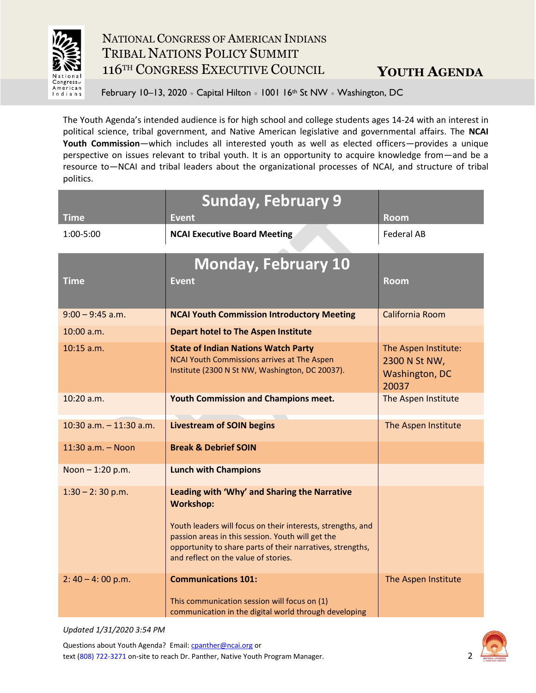

February 10–13, 2020 • Capital Hilton • 1001 16<sup>th</sup> St NW • Washington, DC

The Youth Agenda's intended audience is for high school and college students ages 14-24 with an interest in political science, tribal government, and Native American legislative and governmental affairs. The **NCAI Youth Commission**—which includes all interested youth as well as elected officers—provides a unique perspective on issues relevant to tribal youth. It is an opportunity to acquire knowledge from—and be a resource to—NCAI and tribal leaders about the organizational processes of NCAI, and structure of tribal politics.

|                           | <b>Sunday, February 9</b>                                                                                                                                                                                                                                                                  |                                                                  |
|---------------------------|--------------------------------------------------------------------------------------------------------------------------------------------------------------------------------------------------------------------------------------------------------------------------------------------|------------------------------------------------------------------|
| <b>Time</b>               | <b>Event</b>                                                                                                                                                                                                                                                                               | <b>Room</b>                                                      |
| 1:00-5:00                 | <b>NCAI Executive Board Meeting</b>                                                                                                                                                                                                                                                        | <b>Federal AB</b>                                                |
|                           | <b>Monday, February 10</b>                                                                                                                                                                                                                                                                 |                                                                  |
| <b>Time</b>               | <b>Event</b>                                                                                                                                                                                                                                                                               | <b>Room</b>                                                      |
| $9:00 - 9:45$ a.m.        | <b>NCAI Youth Commission Introductory Meeting</b>                                                                                                                                                                                                                                          | California Room                                                  |
| $10:00$ a.m.              | <b>Depart hotel to The Aspen Institute</b>                                                                                                                                                                                                                                                 |                                                                  |
| $10:15$ a.m.              | <b>State of Indian Nations Watch Party</b><br>NCAI Youth Commissions arrives at The Aspen<br>Institute (2300 N St NW, Washington, DC 20037).                                                                                                                                               | The Aspen Institute:<br>2300 N St NW,<br>Washington, DC<br>20037 |
| $10:20$ a.m.              | <b>Youth Commission and Champions meet.</b>                                                                                                                                                                                                                                                | The Aspen Institute                                              |
| 10:30 $a.m. - 11:30 a.m.$ | <b>Livestream of SOIN begins</b>                                                                                                                                                                                                                                                           | The Aspen Institute                                              |
| 11:30 a.m. - Noon         | <b>Break &amp; Debrief SOIN</b>                                                                                                                                                                                                                                                            |                                                                  |
| Noon-1:20 p.m.            | <b>Lunch with Champions</b>                                                                                                                                                                                                                                                                |                                                                  |
| $1:30 - 2:30$ p.m.        | Leading with 'Why' and Sharing the Narrative<br><b>Workshop:</b><br>Youth leaders will focus on their interests, strengths, and<br>passion areas in this session. Youth will get the<br>opportunity to share parts of their narratives, strengths,<br>and reflect on the value of stories. |                                                                  |
| $2: 40 - 4: 00$ p.m.      | <b>Communications 101:</b><br>This communication session will focus on (1)<br>communication in the digital world through developing                                                                                                                                                        | The Aspen Institute                                              |

*Updated 1/31/2020 3:54 PM*

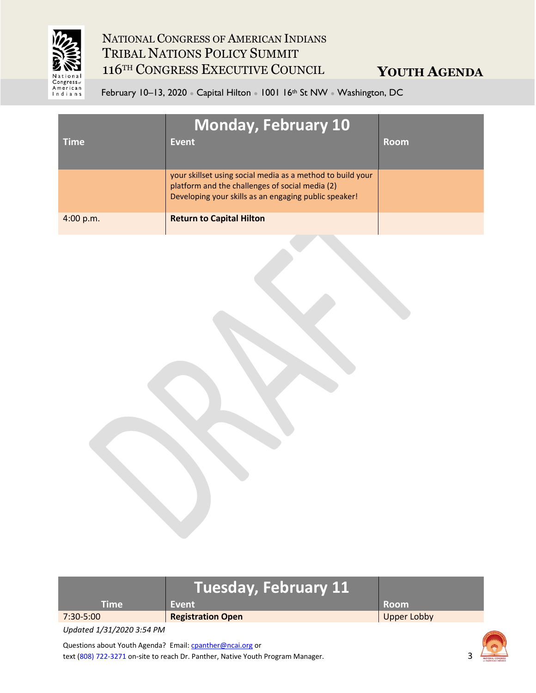

**YOUTH AGENDA**

February 10–13, 2020 • Capital Hilton • 1001 16<sup>th</sup> St NW • Washington, DC

| <b>Time</b> | <b>Monday, February 10</b><br>Event                                                                                                                                    | <b>Room</b> |
|-------------|------------------------------------------------------------------------------------------------------------------------------------------------------------------------|-------------|
|             | your skillset using social media as a method to build your<br>platform and the challenges of social media (2)<br>Developing your skills as an engaging public speaker! |             |
| 4:00 p.m.   | <b>Return to Capital Hilton</b>                                                                                                                                        |             |

|           | Tuesday, February 11     |             |
|-----------|--------------------------|-------------|
| Time.     | Event                    | <b>Room</b> |
| 7:30-5:00 | <b>Registration Open</b> | Upper Lobby |

*Updated 1/31/2020 3:54 PM*

Questions about Youth Agenda? Email[: cpanther@ncai.org](mailto:cpanther@ncai.org) or text (808) 722-3271 on-site to reach Dr. Panther, Native Youth Program Manager.

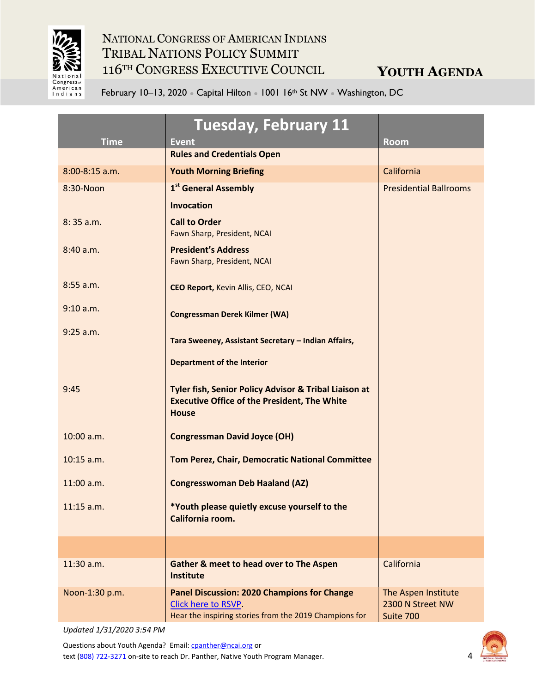

**YOUTH AGENDA**

February 10–13, 2020 • Capital Hilton • 1001 16<sup>th</sup> St NW • Washington, DC

| <b>Time</b>      | <b>Tuesday, February 11</b><br><b>Event</b>                                                                                         | <b>Room</b>                                          |
|------------------|-------------------------------------------------------------------------------------------------------------------------------------|------------------------------------------------------|
|                  | <b>Rules and Credentials Open</b>                                                                                                   |                                                      |
| $8:00-8:15$ a.m. | <b>Youth Morning Briefing</b>                                                                                                       | California                                           |
| 8:30-Noon        | 1 <sup>st</sup> General Assembly                                                                                                    | <b>Presidential Ballrooms</b>                        |
|                  | <b>Invocation</b>                                                                                                                   |                                                      |
| 8:35 a.m.        | <b>Call to Order</b><br>Fawn Sharp, President, NCAI                                                                                 |                                                      |
| 8:40 a.m.        | <b>President's Address</b><br>Fawn Sharp, President, NCAI                                                                           |                                                      |
| $8:55$ a.m.      | <b>CEO Report, Kevin Allis, CEO, NCAI</b>                                                                                           |                                                      |
| 9:10 a.m.        | <b>Congressman Derek Kilmer (WA)</b>                                                                                                |                                                      |
| $9:25$ a.m.      | Tara Sweeney, Assistant Secretary - Indian Affairs,                                                                                 |                                                      |
|                  | <b>Department of the Interior</b>                                                                                                   |                                                      |
| 9:45             | Tyler fish, Senior Policy Advisor & Tribal Liaison at<br><b>Executive Office of the President, The White</b><br><b>House</b>        |                                                      |
| 10:00 a.m.       | <b>Congressman David Joyce (OH)</b>                                                                                                 |                                                      |
| 10:15 a.m.       | Tom Perez, Chair, Democratic National Committee                                                                                     |                                                      |
| 11:00 a.m.       | <b>Congresswoman Deb Haaland (AZ)</b>                                                                                               |                                                      |
| $11:15$ a.m.     | *Youth please quietly excuse yourself to the<br>California room.                                                                    |                                                      |
|                  |                                                                                                                                     |                                                      |
| 11:30 a.m.       | <b>Gather &amp; meet to head over to The Aspen</b><br><b>Institute</b>                                                              | California                                           |
| Noon-1:30 p.m.   | <b>Panel Discussion: 2020 Champions for Change</b><br>Click here to RSVP.<br>Hear the inspiring stories from the 2019 Champions for | The Aspen Institute<br>2300 N Street NW<br>Suite 700 |

*Updated 1/31/2020 3:54 PM*

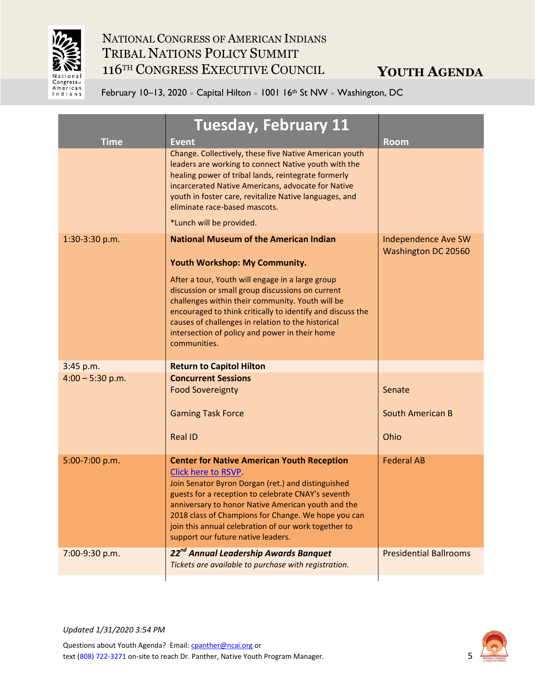

February 10–13, 2020 • Capital Hilton • 1001 16<sup>th</sup> St NW • Washington, DC

| <b>Time</b>        | <b>Tuesday, February 11</b><br><b>Event</b>                                                                                                                                                                                                                                                                                                                                                     | <b>Room</b>                                              |
|--------------------|-------------------------------------------------------------------------------------------------------------------------------------------------------------------------------------------------------------------------------------------------------------------------------------------------------------------------------------------------------------------------------------------------|----------------------------------------------------------|
|                    | Change. Collectively, these five Native American youth<br>leaders are working to connect Native youth with the<br>healing power of tribal lands, reintegrate formerly<br>incarcerated Native Americans, advocate for Native<br>youth in foster care, revitalize Native languages, and<br>eliminate race-based mascots.                                                                          |                                                          |
|                    | *Lunch will be provided.                                                                                                                                                                                                                                                                                                                                                                        |                                                          |
| 1:30-3:30 p.m.     | <b>National Museum of the American Indian</b><br>Youth Workshop: My Community.                                                                                                                                                                                                                                                                                                                  | <b>Independence Ave SW</b><br><b>Washington DC 20560</b> |
|                    | After a tour, Youth will engage in a large group<br>discussion or small group discussions on current<br>challenges within their community. Youth will be<br>encouraged to think critically to identify and discuss the<br>causes of challenges in relation to the historical<br>intersection of policy and power in their home<br>communities.                                                  |                                                          |
| 3:45 p.m.          | <b>Return to Capitol Hilton</b>                                                                                                                                                                                                                                                                                                                                                                 |                                                          |
| $4:00 - 5:30$ p.m. | <b>Concurrent Sessions</b><br><b>Food Sovereignty</b>                                                                                                                                                                                                                                                                                                                                           | Senate                                                   |
|                    | <b>Gaming Task Force</b>                                                                                                                                                                                                                                                                                                                                                                        | <b>South American B</b>                                  |
|                    | <b>Real ID</b>                                                                                                                                                                                                                                                                                                                                                                                  | Ohio                                                     |
| 5:00-7:00 p.m.     | <b>Center for Native American Youth Reception</b><br>Click here to RSVP.<br>Join Senator Byron Dorgan (ret.) and distinguished<br>guests for a reception to celebrate CNAY's seventh<br>anniversary to honor Native American youth and the<br>2018 class of Champions for Change. We hope you can<br>join this annual celebration of our work together to<br>support our future native leaders. | <b>Federal AB</b>                                        |
| 7:00-9:30 p.m.     | 22 <sup>nd</sup> Annual Leadership Awards Banquet<br>Tickets are available to purchase with registration.                                                                                                                                                                                                                                                                                       | <b>Presidential Ballrooms</b>                            |